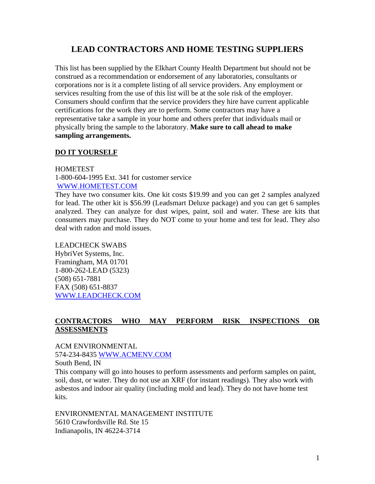# **LEAD CONTRACTORS AND HOME TESTING SUPPLIERS**

This list has been supplied by the Elkhart County Health Department but should not be construed as a recommendation or endorsement of any laboratories, consultants or corporations nor is it a complete listing of all service providers. Any employment or services resulting from the use of this list will be at the sole risk of the employer. Consumers should confirm that the service providers they hire have current applicable certifications for the work they are to perform. Some contractors may have a representative take a sample in your home and others prefer that individuals mail or physically bring the sample to the laboratory. **Make sure to call ahead to make sampling arrangements.**

### **DO IT YOURSELF**

#### HOMETEST

1-800-604-1995 Ext. 341 for customer service [WWW.HOMETEST.COM](http://www.hometest.com/)

They have two consumer kits. One kit costs \$19.99 and you can get 2 samples analyzed for lead. The other kit is \$56.99 (Leadsmart Deluxe package) and you can get 6 samples analyzed. They can analyze for dust wipes, paint, soil and water. These are kits that consumers may purchase. They do NOT come to your home and test for lead. They also deal with radon and mold issues.

## LEADCHECK SWABS

HybriVet Systems, Inc. Framingham, MA 01701 1-800-262-LEAD (5323) (508) 651-7881 FAX (508) 651-8837 [WWW.LEADCHECK.COM](http://www.leadcheck.com/)

# **CONTRACTORS WHO MAY PERFORM RISK INSPECTIONS OR ASSESSMENTS**

ACM ENVIRONMENTAL 574-234-8435 [WWW.ACMENV.COM](http://www.acmenv.com/)

South Bend, IN This company will go into houses to perform assessments and perform samples on paint, soil, dust, or water. They do not use an XRF (for instant readings). They also work with asbestos and indoor air quality (including mold and lead). They do not have home test kits.

ENVIRONMENTAL MANAGEMENT INSTITUTE 5610 Crawfordsville Rd. Ste 15 Indianapolis, IN 46224-3714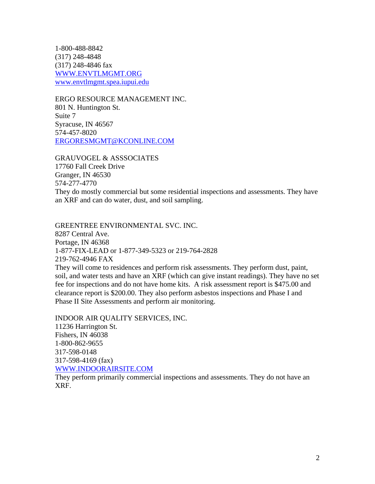1-800-488-8842 (317) 248-4848 (317) 248-4846 fax [WWW.ENVTLMGMT.ORG](http://www.envtlmgmt.org/) [www.envtlmgmt.spea.iupui.edu](http://www.envtlmgmt.spea.iupui.edu/)

ERGO RESOURCE MANAGEMENT INC. 801 N. Huntington St. Suite 7 Syracuse, IN 46567 574-457-8020 [ERGORESMGMT@KCONLINE.COM](mailto:ERGORESMGMT@KCONLINE.COM)

GRAUVOGEL & ASSSOCIATES 17760 Fall Creek Drive Granger, IN 46530 574-277-4770 They do mostly commercial but some residential inspections and assessments. They have an XRF and can do water, dust, and soil sampling.

GREENTREE ENVIRONMENTAL SVC. INC. 8287 Central Ave. Portage, IN 46368 1-877-FIX-LEAD or 1-877-349-5323 or 219-764-2828 219-762-4946 FAX They will come to residences and perform risk assessments. They perform dust, paint, soil, and water tests and have an XRF (which can give instant readings). They have no set fee for inspections and do not have home kits. A risk assessment report is \$475.00 and clearance report is \$200.00. They also perform asbestos inspections and Phase I and Phase II Site Assessments and perform air monitoring.

INDOOR AIR QUALITY SERVICES, INC. 11236 Harrington St. Fishers, IN 46038 1-800-862-9655 317-598-0148 317-598-4169 (fax) [WWW.INDOORAIRSITE.COM](http://www.indoorairsite.com/)

They perform primarily commercial inspections and assessments. They do not have an XRF.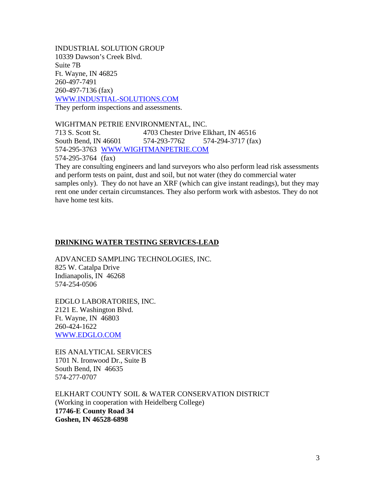INDUSTRIAL SOLUTION GROUP 10339 Dawson's Creek Blvd. Suite 7B Ft. Wayne, IN 46825 260-497-7491 260-497-7136 (fax) [WWW.INDUSTIAL-SOLUTIONS.COM](http://www.industial-solutions.com/)

They perform inspections and assessments.

WIGHTMAN PETRIE ENVIRONMENTAL, INC.

713 S. Scott St. 4703 Chester Drive Elkhart, IN 46516 South Bend, IN 46601 574-293-7762 574-294-3717 (fax) 574-295-3763 [WWW.WIGHTMANPETRIE.COM](http://www.wightmanpetrie.com/) 574-295-3764 (fax)

They are consulting engineers and land surveyors who also perform lead risk assessments and perform tests on paint, dust and soil, but not water (they do commercial water samples only). They do not have an XRF (which can give instant readings), but they may rent one under certain circumstances. They also perform work with asbestos. They do not have home test kits.

# **DRINKING WATER TESTING SERVICES-LEAD**

ADVANCED SAMPLING TECHNOLOGIES, INC. 825 W. Catalpa Drive Indianapolis, IN 46268 574-254-0506

EDGLO LABORATORIES, INC. 2121 E. Washington Blvd. Ft. Wayne, IN 46803 260-424-1622 [WWW.EDGLO.COM](http://www.edglo.com/)

EIS ANALYTICAL SERVICES 1701 N. Ironwood Dr., Suite B South Bend, IN 46635 574-277-0707

ELKHART COUNTY SOIL & WATER CONSERVATION DISTRICT (Working in cooperation with Heidelberg College) **17746-E County Road 34 Goshen, IN 46528-6898**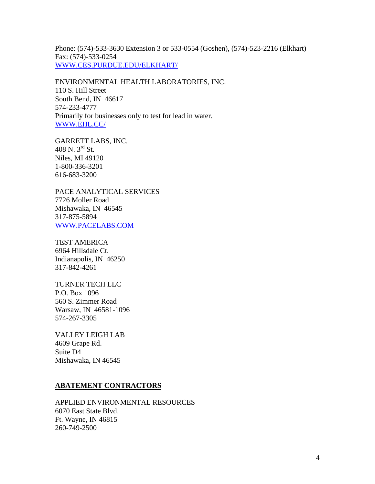Phone: (574)-533-3630 Extension 3 or 533-0554 (Goshen), (574)-523-2216 (Elkhart) Fax: (574)-533-0254 [WWW.CES.PURDUE.EDU/ELKHART/](http://www.ces.purdue.edu/ELKHART/)

ENVIRONMENTAL HEALTH LABORATORIES, INC. 110 S. Hill Street South Bend, IN 46617 574-233-4777 Primarily for businesses only to test for lead in water. [WWW.EHL.CC/](http://www.ehl.cc/)

GARRETT LABS, INC. 408 N. 3rd St. Niles, MI 49120 1-800-336-3201 616-683-3200

PACE ANALYTICAL SERVICES 7726 Moller Road Mishawaka, IN 46545 317-875-5894 [WWW.PACELABS.COM](http://www.pacelabs.com/)

TEST AMERICA 6964 Hillsdale Ct. Indianapolis, IN 46250 317-842-4261

TURNER TECH LLC P.O. Box 1096 560 S. Zimmer Road Warsaw, IN 46581-1096 574-267-3305

VALLEY LEIGH LAB 4609 Grape Rd. Suite D4 Mishawaka, IN 46545

#### **ABATEMENT CONTRACTORS**

APPLIED ENVIRONMENTAL RESOURCES 6070 East State Blvd. Ft. Wayne, IN 46815 260-749-2500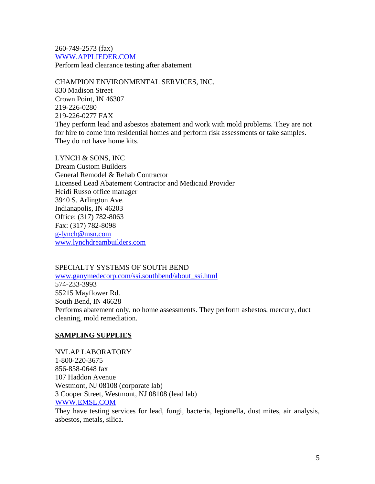260-749-2573 (fax) [WWW.APPLIEDER.COM](http://www.applieder.com/) Perform lead clearance testing after abatement

CHAMPION ENVIRONMENTAL SERVICES, INC. 830 Madison Street Crown Point, IN 46307 219-226-0280 219-226-0277 FAX They perform lead and asbestos abatement and work with mold problems. They are not for hire to come into residential homes and perform risk assessments or take samples. They do not have home kits.

LYNCH & SONS, INC Dream Custom Builders General Remodel & Rehab Contractor Licensed Lead Abatement Contractor and Medicaid Provider Heidi Russo office manager 3940 S. Arlington Ave. Indianapolis, IN 46203 Office: (317) 782-8063 Fax: (317) 782-8098 [g-lynch@msn.com](mailto:g-lynch@msn.com) [www.lynchdreambuilders.com](http://www.lynchdreambuilders.com/)

SPECIALTY SYSTEMS OF SOUTH BEND [www.ganymedecorp.com/ssi.southbend/about\\_ssi.html](http://www.ganymedecorp.com/ssi.southbend/about_ssi.html) 574-233-3993 55215 Mayflower Rd. South Bend, IN 46628 Performs abatement only, no home assessments. They perform asbestos, mercury, duct cleaning, mold remediation.

### **SAMPLING SUPPLIES**

NVLAP LABORATORY 1-800-220-3675 856-858-0648 fax 107 Haddon Avenue Westmont, NJ 08108 (corporate lab) 3 Cooper Street, Westmont, NJ 08108 (lead lab) [WWW.EMSL.COM](http://www.emsl.com/)

They have testing services for lead, fungi, bacteria, legionella, dust mites, air analysis, asbestos, metals, silica.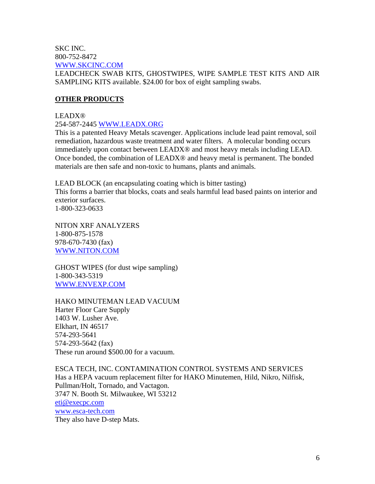SKC INC. 800-752-8472 [WWW.SKCINC.COM](http://www.skcinc.com/)

LEADCHECK SWAB KITS, GHOSTWIPES, WIPE SAMPLE TEST KITS AND AIR SAMPLING KITS available. \$24.00 for box of eight sampling swabs.

# **OTHER PRODUCTS**

### LEADX®

254-587-2445 [WWW.LEADX.ORG](http://www.leadx.org/)

This is a patented Heavy Metals scavenger. Applications include lead paint removal, soil remediation, hazardous waste treatment and water filters. A molecular bonding occurs immediately upon contact between LEADX® and most heavy metals including LEAD. Once bonded, the combination of LEADX® and heavy metal is permanent. The bonded materials are then safe and non-toxic to humans, plants and animals.

LEAD BLOCK (an encapsulating coating which is bitter tasting) This forms a barrier that blocks, coats and seals harmful lead based paints on interior and exterior surfaces. 1-800-323-0633

NITON XRF ANALYZERS 1-800-875-1578 978-670-7430 (fax) [WWW.NITON.COM](http://www.niton.com/)

GHOST WIPES (for dust wipe sampling) 1-800-343-5319 [WWW.ENVEXP.COM](http://www.envexp.com/)

HAKO MINUTEMAN LEAD VACUUM Harter Floor Care Supply 1403 W. Lusher Ave. Elkhart, IN 46517 574-293-5641 574-293-5642 (fax) These run around \$500.00 for a vacuum.

ESCA TECH, INC. CONTAMINATION CONTROL SYSTEMS AND SERVICES Has a HEPA vacuum replacement filter for HAKO Minutemen, Hild, Nikro, Nilfisk, Pullman/Holt, Tornado, and Vactagon. 3747 N. Booth St. Milwaukee, WI 53212 [eti@execpc.com](mailto:eti@execpc.com) [www.esca-tech.com](http://www.esca-tech.com/) They also have D-step Mats.